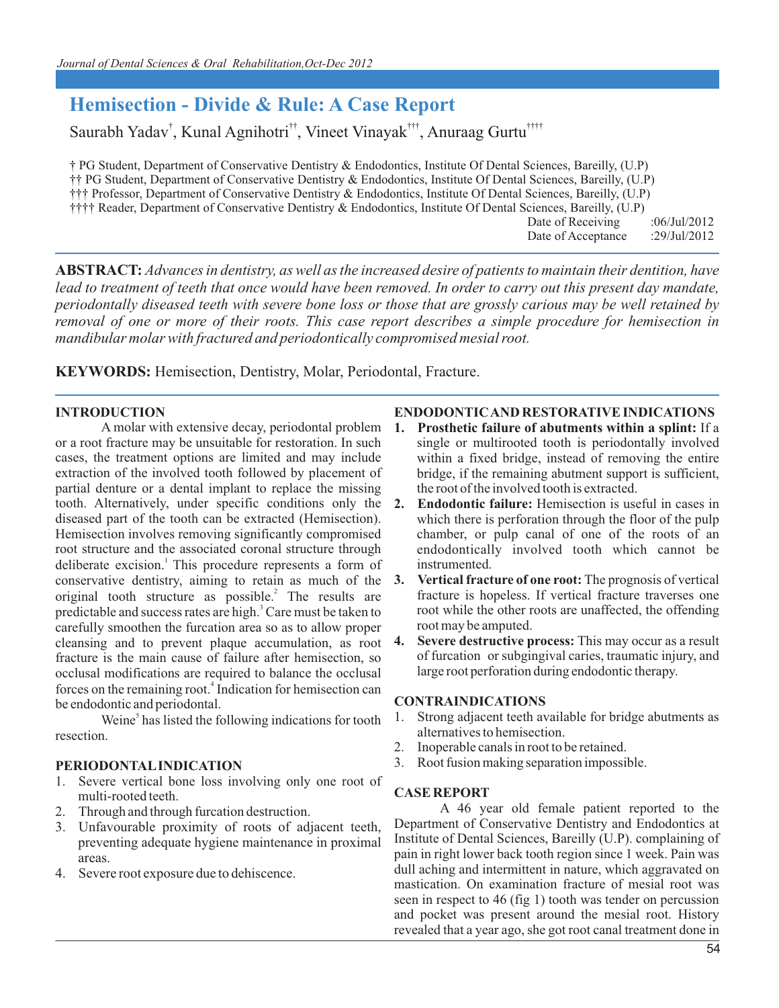# **Hemisection - Divide & Rule: A Case Report**

Saurabh Yadav<sup>†</sup>, Kunal Agnihotri<sup>††</sup>, Vineet Vinayak<sup>†††</sup>, Anuraag Gurtu<sup>††††</sup>

 (U.P) † PG Student, Department of Conservative Dentistry & Endodontics, Institute Of Dental Sciences, Bareilly, (U.P) †† PG Student, Department of Conservative Dentistry & Endodontics, Institute Of Dental Sciences, Bareilly, ††† Professor, Department of Conservative Dentistry & Endodontics, Institute Of Dental Sciences, Bareilly, (U.P)<br>†††† Reader, Department of Conservative Dentistry & Endodontics, Institute Of Dental Sciences, Bareilly, (U.P

†††† Reader, Department of Conservative Dentistry & Endodontics, Institute Of Dental Sciences, Bareilly, (U.P)

Date of Receiving :06/Jul/2012 Date of Acceptance :29/Jul/2012

**ABSTRACT:** *Advances in dentistry, as well as the increased desire of patients to maintain their dentition, have* lead to treatment of teeth that once would have been removed. In order to carry out this present day mandate, *periodontally diseased teeth with severe bone loss or those that are grossly carious may be well retained by removal of one or more of their roots. This case report describes a simple procedure for hemisection in mandibular molar with fractured and periodontically compromised mesial root.*

**KEYWORDS:** Hemisection, Dentistry, Molar, Periodontal, Fracture.

## **INTRODUCTION**

A molar with extensive decay, periodontal problem or a root fracture may be unsuitable for restoration. In such cases, the treatment options are limited and may include extraction of the involved tooth followed by placement of partial denture or a dental implant to replace the missing tooth. Alternatively, under specific conditions only the diseased part of the tooth can be extracted (Hemisection). Hemisection involves removing significantly compromised root structure and the associated coronal structure through deliberate excision.<sup>1</sup> This procedure represents a form of conservative dentistry, aiming to retain as much of the original tooth structure as possible.<sup>2</sup> The results are predictable and success rates are high.<sup>3</sup> Care must be taken to carefully smoothen the furcation area so as to allow proper cleansing and to prevent plaque accumulation, as root fracture is the main cause of failure after hemisection, so occlusal modifications are required to balance the occlusal forces on the remaining root.<sup>4</sup> Indication for hemisection can be endodontic and periodontal.

Weine $\delta$  has listed the following indications for tooth resection.

## **PERIODONTAL INDICATION**

- 1. Severe vertical bone loss involving only one root of multi-rooted teeth.
- 2. Through and through furcation destruction.<br>3. Unfavourable proximity of roots of adj
- Unfavourable proximity of roots of adjacent teeth, preventing adequate hygiene maintenance in proximal areas.
- 4. Severe root exposure due to dehiscence.

### **ENDODONTIC AND RESTORATIVE INDICATIONS**

- **1. Prosthetic failure of abutments within a splint:** If a single or multirooted tooth is periodontally involved within a fixed bridge, instead of removing the entire bridge, if the remaining abutment support is sufficient, the root of the involved tooth is extracted.
- **2. Endodontic failure:** Hemisection is useful in cases in which there is perforation through the floor of the pulp chamber, or pulp canal of one of the roots of an endodontically involved tooth which cannot be instrumented.
- **3. Vertical fracture of one root:** The prognosis of vertical fracture is hopeless. If vertical fracture traverses one root while the other roots are unaffected, the offending root may be amputed.
- **4. Severe destructive process:** This may occur as a result of furcation or subgingival caries, traumatic injury, and large root perforation during endodontic therapy.

### **CONTRAINDICATIONS**

- 1. Strong adjacent teeth available for bridge abutments as alternatives to hemisection.
- 2. Inoperable canals in root to be retained.
- 3. Root fusion making separation impossible.

### **CASE REPORT**

A 46 year old female patient reported to the Department of Conservative Dentistry and Endodontics at Institute of Dental Sciences, Bareilly (U.P). complaining of pain in right lower back tooth region since 1 week. Pain was dull aching and intermittent in nature, which aggravated on mastication. On examination fracture of mesial root was seen in respect to 46 (fig 1) tooth was tender on percussion and pocket was present around the mesial root. History revealed that a year ago, she got root canal treatment done in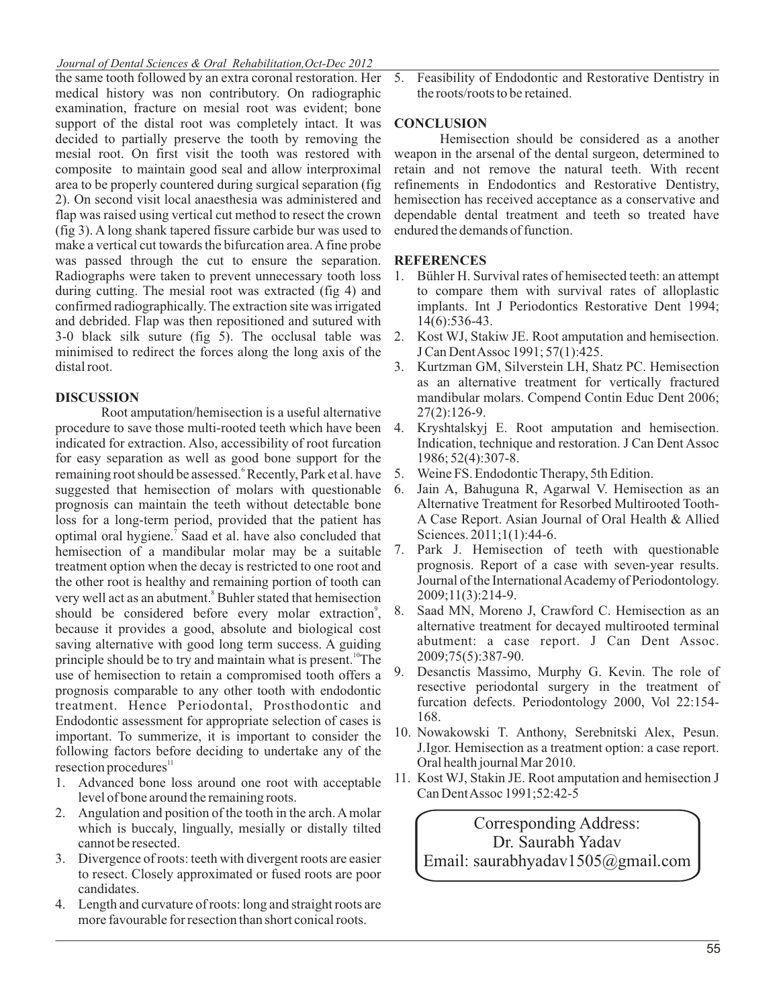### *Journal of Dental Sciences & Oral Rehabilitation,Oct-Dec 2012*

the same tooth followed by an extra coronal restoration. Her medical history was non contributory. On radiographic examination, fracture on mesial root was evident; bone support of the distal root was completely intact. It was decided to partially preserve the tooth by removing the mesial root. On first visit the tooth was restored with composite to maintain good seal and allow interproximal area to be properly countered during surgical separation (fig 2). On second visit local anaesthesia was administered and flap was raised using vertical cut method to resect the crown (fig 3). A long shank tapered fissure carbide bur was used to make a vertical cut towards the bifurcation area. A fine probe was passed through the cut to ensure the separation. Radiographs were taken to prevent unnecessary tooth loss during cutting. The mesial root was extracted (fig 4) and confirmed radiographically. The extraction site was irrigated and debrided. Flap was then repositioned and sutured with 3-0 black silk suture (fig 5). The occlusal table was minimised to redirect the forces along the long axis of the distal root.

### **DISCUSSION**

Root amputation/hemisection is a useful alternative procedure to save those multi-rooted teeth which have been indicated for extraction. Also, accessibility of root furcation for easy separation as well as good bone support for the remaining root should be assessed.<sup>6</sup> Recently, Park et al. have suggested that hemisection of molars with questionable prognosis can maintain the teeth without detectable bone loss for a long-term period, provided that the patient has optimal oral hygiene.<sup>7</sup> Saad et al. have also concluded that hemisection of a mandibular molar may be a suitable treatment option when the decay is restricted to one root and the other root is healthy and remaining portion of tooth can very well act as an abutment.<sup>8</sup> Buhler stated that hemisection should be considered before every molar extraction<sup>9</sup>, because it provides a good, absolute and biological cost saving alternative with good long term success. A guiding principle should be to try and maintain what is present.<sup>10</sup>The use of hemisection to retain a compromised tooth offers a prognosis comparable to any other tooth with endodontic treatment. Hence Periodontal, Prosthodontic and Endodontic assessment for appropriate selection of cases is important. To summerize, it is important to consider the following factors before deciding to undertake any of the resection procedures<sup>11</sup>

- 1. Advanced bone loss around one root with acceptable level of bone around the remaining roots.
- 2. Angulation and position of the tooth in the arch. A molar which is buccaly, lingually, mesially or distally tilted cannot be resected.
- 3. Divergence of roots: teeth with divergent roots are easier to resect. Closely approximated or fused roots are poor candidates.
- 4. Length and curvature of roots: long and straight roots are more favourable for resection than short conical roots.

5. Feasibility of Endodontic and Restorative Dentistry in the roots/roots to be retained.

#### **CONCLUSION**

Hemisection should be considered as a another weapon in the arsenal of the dental surgeon, determined to retain and not remove the natural teeth. With recent refinements in Endodontics and Restorative Dentistry, hemisection has received acceptance as a conservative and dependable dental treatment and teeth so treated have endured the demands of function.

### **REFERENCES**

- 1. Bühler H. Survival rates of hemisected teeth: an attempt to compare them with survival rates of alloplastic implants. Int J Periodontics Restorative Dent 1994; 14(6):536-43.
- 2. Kost WJ, Stakiw JE. Root amputation and hemisection. J Can Dent Assoc 1991; 57(1):425.
- 3. Kurtzman GM, Silverstein LH, Shatz PC. Hemisection as an alternative treatment for vertically fractured mandibular molars. Compend Contin Educ Dent 2006; 27(2):126-9.
- 4. Kryshtalskyj E. Root amputation and hemisection. Indication, technique and restoration. J Can Dent Assoc 1986; 52(4):307-8.
- 5. Weine FS. Endodontic Therapy, 5th Edition.
- 6. Jain A, Bahuguna R, Agarwal V. Hemisection as an Alternative Treatment for Resorbed Multirooted Tooth-A Case Report. Asian Journal of Oral Health & Allied Sciences. 2011;1(1):44-6.
- 7. Park J. Hemisection of teeth with questionable prognosis. Report of a case with seven-year results. Journal of the International Academy of Periodontology. 2009;11(3):214-9.
- 8. Saad MN, Moreno J, Crawford C. Hemisection as an alternative treatment for decayed multirooted terminal abutment: a case report. J Can Dent Assoc. 2009;75(5):387-90.
- 9. Desanctis Massimo, Murphy G. Kevin. The role of resective periodontal surgery in the treatment of furcation defects. Periodontology 2000, Vol 22:154- 168.
- 10. Nowakowski T. Anthony, Serebnitski Alex, Pesun. J.Igor. Hemisection as a treatment option: a case report. Oral health journal Mar 2010.
- 11. Kost WJ, Stakin JE. Root amputation and hemisection J Can Dent Assoc 1991;52:42-5

Corresponding Address: Dr. Saurabh Yadav Email: saurabhyadav1505@gmail.com